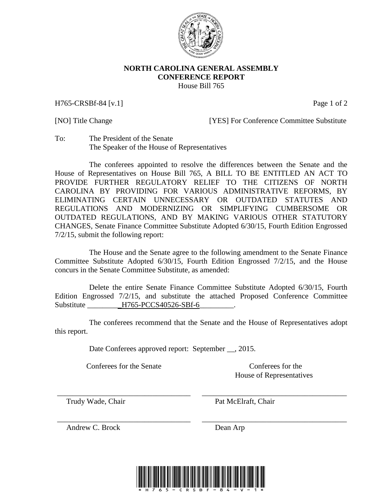

## **NORTH CAROLINA GENERAL ASSEMBLY CONFERENCE REPORT** House Bill 765

H765-CRSBf-84 [v.1] Page 1 of 2

[NO] Title Change [YES] For Conference Committee Substitute

To: The President of the Senate The Speaker of the House of Representatives

The conferees appointed to resolve the differences between the Senate and the House of Representatives on House Bill 765, A BILL TO BE ENTITLED AN ACT TO PROVIDE FURTHER REGULATORY RELIEF TO THE CITIZENS OF NORTH CAROLINA BY PROVIDING FOR VARIOUS ADMINISTRATIVE REFORMS, BY ELIMINATING CERTAIN UNNECESSARY OR OUTDATED STATUTES AND REGULATIONS AND MODERNIZING OR SIMPLIFYING CUMBERSOME OR OUTDATED REGULATIONS, AND BY MAKING VARIOUS OTHER STATUTORY CHANGES, Senate Finance Committee Substitute Adopted 6/30/15, Fourth Edition Engrossed 7/2/15, submit the following report:

The House and the Senate agree to the following amendment to the Senate Finance Committee Substitute Adopted 6/30/15, Fourth Edition Engrossed 7/2/15, and the House concurs in the Senate Committee Substitute, as amended:

Delete the entire Senate Finance Committee Substitute Adopted 6/30/15, Fourth Edition Engrossed 7/2/15, and substitute the attached Proposed Conference Committee Substitute \_\_\_\_\_\_\_\_\_H765-PCCS40526-SBf-6\_\_\_\_\_\_\_\_.

The conferees recommend that the Senate and the House of Representatives adopt this report.

\_\_\_\_\_\_\_\_\_\_\_\_\_\_\_\_\_\_\_\_\_\_\_\_\_\_\_\_\_\_\_\_\_\_\_ \_\_\_\_\_\_\_\_\_\_\_\_\_\_\_\_\_\_\_\_\_\_\_\_\_\_\_\_\_\_\_\_\_\_\_\_\_\_

\_\_\_\_\_\_\_\_\_\_\_\_\_\_\_\_\_\_\_\_\_\_\_\_\_\_\_\_\_\_\_\_\_\_\_ \_\_\_\_\_\_\_\_\_\_\_\_\_\_\_\_\_\_\_\_\_\_\_\_\_\_\_\_\_\_\_\_\_\_\_\_\_\_

Date Conferees approved report: September \_\_, 2015.

Conferees for the Senate Conferees for the Conference Conference Conference Conference Conference Conference Conference Conference Conference Conference Conference Conference Conference Conference Conference Conference Con

House of Representatives

Trudy Wade, Chair **Pat McElraft**, Chair

Andrew C. Brock Dean Arp